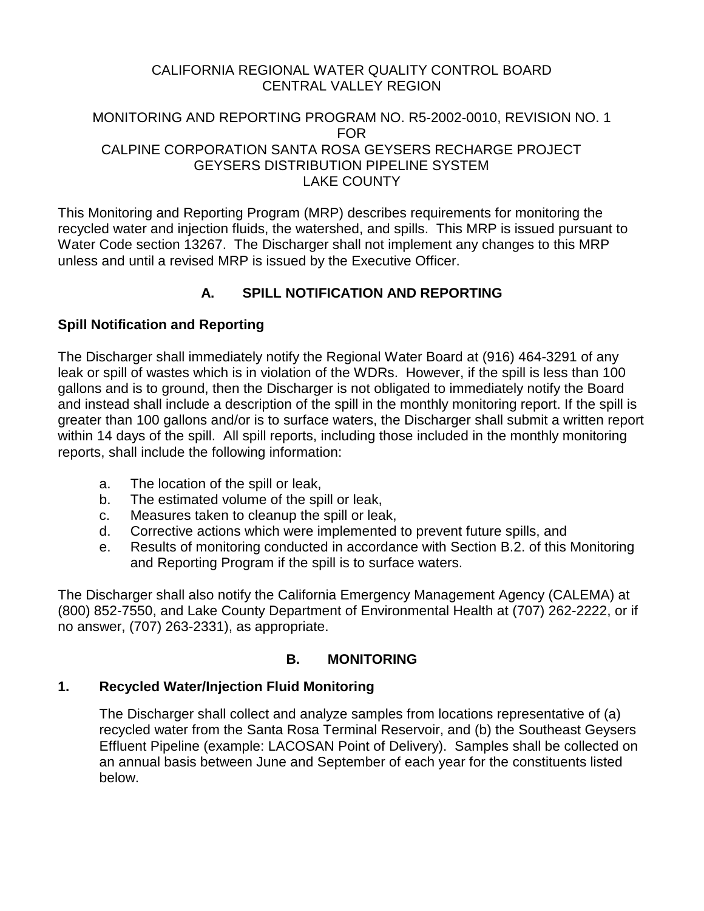### CALIFORNIA REGIONAL WATER QUALITY CONTROL BOARD CENTRAL VALLEY REGION

### MONITORING AND REPORTING PROGRAM NO. R5-2002-0010, REVISION NO. 1 FOR CALPINE CORPORATION SANTA ROSA GEYSERS RECHARGE PROJECT GEYSERS DISTRIBUTION PIPELINE SYSTEM LAKE COUNTY

This Monitoring and Reporting Program (MRP) describes requirements for monitoring the recycled water and injection fluids, the watershed, and spills. This MRP is issued pursuant to Water Code section 13267. The Discharger shall not implement any changes to this MRP unless and until a revised MRP is issued by the Executive Officer.

# **A. SPILL NOTIFICATION AND REPORTING**

# **Spill Notification and Reporting**

The Discharger shall immediately notify the Regional Water Board at (916) 464-3291 of any leak or spill of wastes which is in violation of the WDRs. However, if the spill is less than 100 gallons and is to ground, then the Discharger is not obligated to immediately notify the Board and instead shall include a description of the spill in the monthly monitoring report. If the spill is greater than 100 gallons and/or is to surface waters, the Discharger shall submit a written report within 14 days of the spill. All spill reports, including those included in the monthly monitoring reports, shall include the following information:

- a. The location of the spill or leak,
- b. The estimated volume of the spill or leak,
- c. Measures taken to cleanup the spill or leak,
- d. Corrective actions which were implemented to prevent future spills, and
- e. Results of monitoring conducted in accordance with Section B.2. of this Monitoring and Reporting Program if the spill is to surface waters.

The Discharger shall also notify the California Emergency Management Agency (CALEMA) at (800) 852-7550, and Lake County Department of Environmental Health at (707) 262-2222, or if no answer, (707) 263-2331), as appropriate.

# **B. MONITORING**

# **1. Recycled Water/Injection Fluid Monitoring**

The Discharger shall collect and analyze samples from locations representative of (a) recycled water from the Santa Rosa Terminal Reservoir, and (b) the Southeast Geysers Effluent Pipeline (example: LACOSAN Point of Delivery). Samples shall be collected on an annual basis between June and September of each year for the constituents listed below.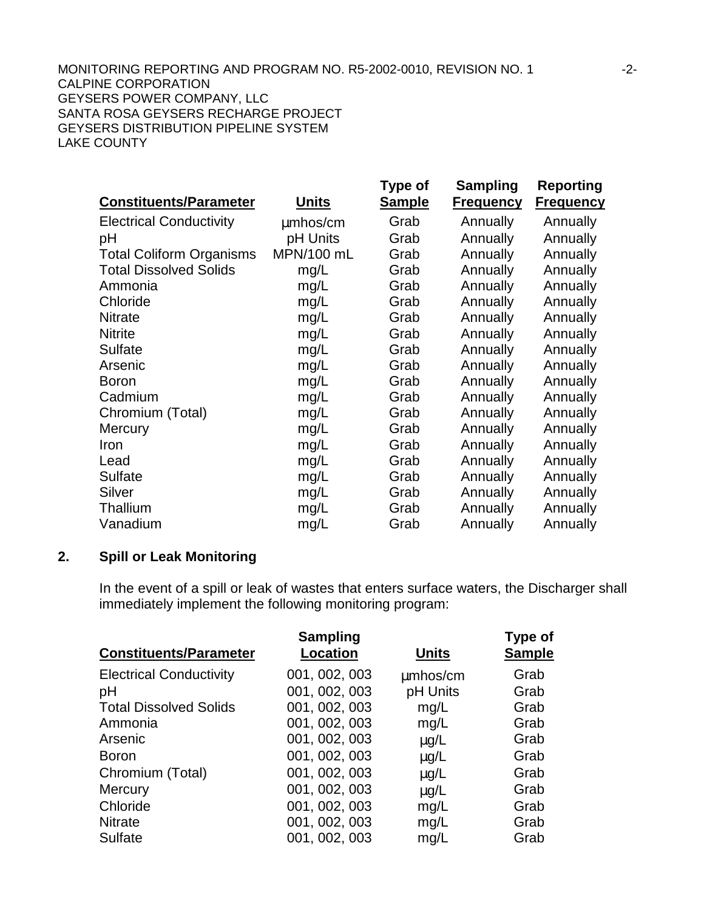| <b>Constituents/Parameter</b>   | <u>Units</u> | Type of<br><b>Sample</b> | <b>Sampling</b><br><b>Frequency</b> | <b>Reporting</b><br><b>Frequency</b> |
|---------------------------------|--------------|--------------------------|-------------------------------------|--------------------------------------|
| <b>Electrical Conductivity</b>  | mmhos/cm     | Grab                     | Annually                            | Annually                             |
| pH                              | pH Units     | Grab                     | Annually                            | Annually                             |
| <b>Total Coliform Organisms</b> | MPN/100 mL   | Grab                     | Annually                            | Annually                             |
| <b>Total Dissolved Solids</b>   | mg/L         | Grab                     | Annually                            | Annually                             |
| Ammonia                         | mg/L         | Grab                     | Annually                            | Annually                             |
| Chloride                        | mg/L         | Grab                     | Annually                            | Annually                             |
| <b>Nitrate</b>                  | mg/L         | Grab                     | Annually                            | Annually                             |
| <b>Nitrite</b>                  | mg/L         | Grab                     | Annually                            | Annually                             |
| <b>Sulfate</b>                  | mg/L         | Grab                     | Annually                            | Annually                             |
| Arsenic                         | mg/L         | Grab                     | Annually                            | Annually                             |
| <b>Boron</b>                    | mg/L         | Grab                     | Annually                            | Annually                             |
| Cadmium                         | mg/L         | Grab                     | Annually                            | Annually                             |
| Chromium (Total)                | mg/L         | Grab                     | Annually                            | Annually                             |
| Mercury                         | mg/L         | Grab                     | Annually                            | Annually                             |
| Iron                            | mg/L         | Grab                     | Annually                            | Annually                             |
| Lead                            | mg/L         | Grab                     | Annually                            | Annually                             |
| <b>Sulfate</b>                  | mg/L         | Grab                     | Annually                            | Annually                             |
| Silver                          | mg/L         | Grab                     | Annually                            | Annually                             |
| Thallium                        | mg/L         | Grab                     | Annually                            | Annually                             |
| Vanadium                        | mg/L         | Grab                     | Annually                            | Annually                             |

#### **2. Spill or Leak Monitoring**

In the event of a spill or leak of wastes that enters surface waters, the Discharger shall immediately implement the following monitoring program:

| <b>Sampling</b><br><b>Location</b> | <b>Units</b> | Type of<br><b>Sample</b> |
|------------------------------------|--------------|--------------------------|
| 001, 002, 003                      | mmhos/cm     | Grab                     |
| 001, 002, 003                      | pH Units     | Grab                     |
| 001, 002, 003                      | mg/L         | Grab                     |
| 001, 002, 003                      | mg/L         | Grab                     |
| 001, 002, 003                      | mg/L         | Grab                     |
| 001, 002, 003                      | mg/L         | Grab                     |
| 001, 002, 003                      | mg/L         | Grab                     |
| 001, 002, 003                      | mg/L         | Grab                     |
| 001, 002, 003                      | mg/L         | Grab                     |
| 001, 002, 003                      | mg/L         | Grab                     |
| 001, 002, 003                      | mg/L         | Grab                     |
|                                    |              |                          |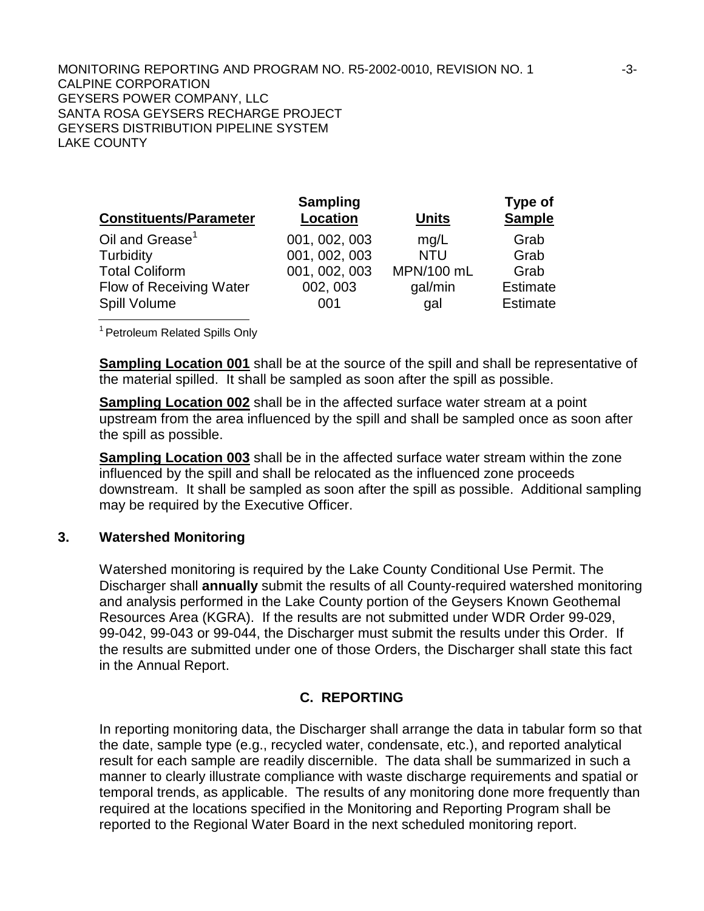MONITORING REPORTING AND PROGRAM NO. R5-2002-0010, REVISION NO. 1 -3-3-CALPINE CORPORATION GEYSERS POWER COMPANY, LLC SANTA ROSA GEYSERS RECHARGE PROJECT GEYSERS DISTRIBUTION PIPELINE SYSTEM LAKE COUNTY

| <b>Constituents/Parameter</b> | <b>Sampling</b><br><b>Location</b> | <b>Units</b> | <b>Type of</b><br><b>Sample</b> |
|-------------------------------|------------------------------------|--------------|---------------------------------|
| Oil and Grease <sup>1</sup>   | 001, 002, 003                      | mg/L         | Grab                            |
| Turbidity                     | 001, 002, 003                      | <b>NTU</b>   | Grab                            |
| <b>Total Coliform</b>         | 001, 002, 003                      | MPN/100 mL   | Grab                            |
| Flow of Receiving Water       | 002, 003                           | gal/min      | <b>Estimate</b>                 |
| Spill Volume                  | 001                                | gal          | <b>Estimate</b>                 |

<sup>1</sup> Petroleum Related Spills Only

**Sampling Location 001** shall be at the source of the spill and shall be representative of the material spilled. It shall be sampled as soon after the spill as possible.

**Sampling Location 002** shall be in the affected surface water stream at a point upstream from the area influenced by the spill and shall be sampled once as soon after the spill as possible.

**Sampling Location 003** shall be in the affected surface water stream within the zone influenced by the spill and shall be relocated as the influenced zone proceeds downstream. It shall be sampled as soon after the spill as possible. Additional sampling may be required by the Executive Officer.

### **3. Watershed Monitoring**

Watershed monitoring is required by the Lake County Conditional Use Permit. The Discharger shall **annually** submit the results of all County-required watershed monitoring and analysis performed in the Lake County portion of the Geysers Known Geothemal Resources Area (KGRA). If the results are not submitted under WDR Order 99-029, 99-042, 99-043 or 99-044, the Discharger must submit the results under this Order. If the results are submitted under one of those Orders, the Discharger shall state this fact in the Annual Report.

# **C. REPORTING**

In reporting monitoring data, the Discharger shall arrange the data in tabular form so that the date, sample type (e.g., recycled water, condensate, etc.), and reported analytical result for each sample are readily discernible. The data shall be summarized in such a manner to clearly illustrate compliance with waste discharge requirements and spatial or temporal trends, as applicable. The results of any monitoring done more frequently than required at the locations specified in the Monitoring and Reporting Program shall be reported to the Regional Water Board in the next scheduled monitoring report.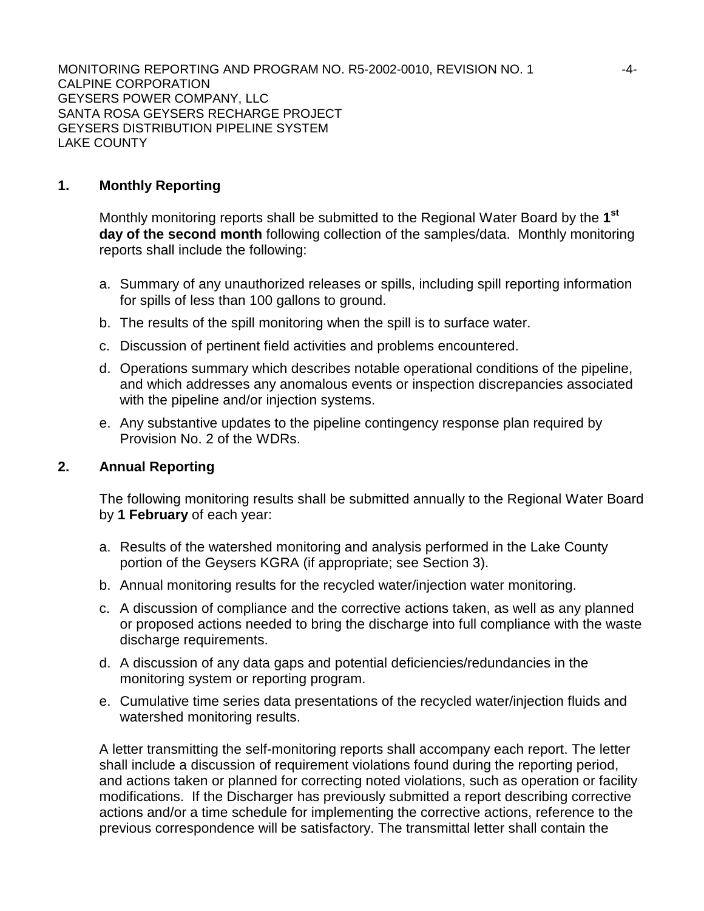MONITORING REPORTING AND PROGRAM NO. R5-2002-0010, REVISION NO. 1 -4-CALPINE CORPORATION GEYSERS POWER COMPANY, LLC SANTA ROSA GEYSERS RECHARGE PROJECT GEYSERS DISTRIBUTION PIPELINE SYSTEM LAKE COUNTY

### **1. Monthly Reporting**

Monthly monitoring reports shall be submitted to the Regional Water Board by the **1st day of the second month** following collection of the samples/data. Monthly monitoring reports shall include the following:

- a. Summary of any unauthorized releases or spills, including spill reporting information for spills of less than 100 gallons to ground.
- b. The results of the spill monitoring when the spill is to surface water.
- c. Discussion of pertinent field activities and problems encountered.
- d. Operations summary which describes notable operational conditions of the pipeline, and which addresses any anomalous events or inspection discrepancies associated with the pipeline and/or injection systems.
- e. Any substantive updates to the pipeline contingency response plan required by Provision No. 2 of the WDRs.

#### **2. Annual Reporting**

The following monitoring results shall be submitted annually to the Regional Water Board by **1 February** of each year:

- a. Results of the watershed monitoring and analysis performed in the Lake County portion of the Geysers KGRA (if appropriate; see Section 3).
- b. Annual monitoring results for the recycled water/injection water monitoring.
- c. A discussion of compliance and the corrective actions taken, as well as any planned or proposed actions needed to bring the discharge into full compliance with the waste discharge requirements.
- d. A discussion of any data gaps and potential deficiencies/redundancies in the monitoring system or reporting program.
- e. Cumulative time series data presentations of the recycled water/injection fluids and watershed monitoring results.

A letter transmitting the self-monitoring reports shall accompany each report. The letter shall include a discussion of requirement violations found during the reporting period, and actions taken or planned for correcting noted violations, such as operation or facility modifications. If the Discharger has previously submitted a report describing corrective actions and/or a time schedule for implementing the corrective actions, reference to the previous correspondence will be satisfactory. The transmittal letter shall contain the